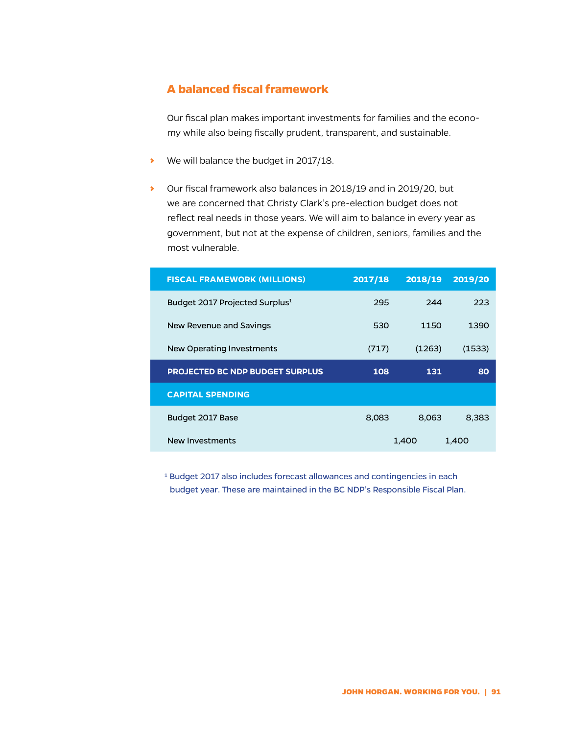## **A balanced fiscal framework**

Our fiscal plan makes important investments for families and the economy while also being fiscally prudent, transparent, and sustainable.

- We will balance the budget in 2017/18.
- › Our fiscal framework also balances in 2018/19 and in 2019/20, but we are concerned that Christy Clark's pre-election budget does not reflect real needs in those years. We will aim to balance in every year as government, but not at the expense of children, seniors, families and the most vulnerable.

| <b>FISCAL FRAMEWORK (MILLIONS)</b>         | 2017/18 | 2018/19 | 2019/20 |
|--------------------------------------------|---------|---------|---------|
| Budget 2017 Projected Surplus <sup>1</sup> | 295     | 744     | 223     |
| New Revenue and Savings                    | 530     | 1150    | 1390    |
| New Operating Investments                  | (717)   | (1263)  | (1533)  |
| <b>PROJECTED BC NDP BUDGET SURPLUS</b>     | 108     | 131     | 80      |
| <b>CAPITAL SPENDING</b>                    |         |         |         |
| Budget 2017 Base                           | 8,083   | 8.063   | 8.383   |
| New Investments                            |         | 1,400   | 1.400   |

1 Budget 2017 also includes forecast allowances and contingencies in each budget year. These are maintained in the BC NDP's Responsible Fiscal Plan.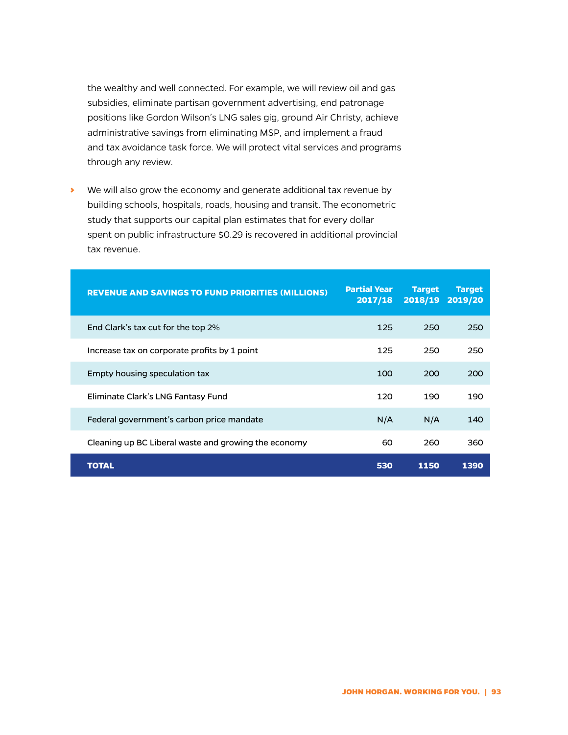the wealthy and well connected. For example, we will review oil and gas subsidies, eliminate partisan government advertising, end patronage positions like Gordon Wilson's LNG sales gig, ground Air Christy, achieve administrative savings from eliminating MSP, and implement a fraud and tax avoidance task force. We will protect vital services and programs through any review.

› We will also grow the economy and generate additional tax revenue by building schools, hospitals, roads, housing and transit. The econometric study that supports our capital plan estimates that for every dollar spent on public infrastructure \$0.29 is recovered in additional provincial tax revenue.

| <b>REVENUE AND SAVINGS TO FUND PRIORITIES (MILLIONS)</b> | <b>Partial Year</b><br>2017/18 | <b>Target</b><br>2018/19 | <b>Target</b><br>2019/20 |
|----------------------------------------------------------|--------------------------------|--------------------------|--------------------------|
| End Clark's tax cut for the top 2%                       | 125                            | 250                      | 250                      |
| Increase tax on corporate profits by 1 point             | 125                            | 250                      | 250                      |
| Empty housing speculation tax                            | 100                            | 200                      | 200                      |
| Eliminate Clark's LNG Fantasy Fund                       | 120                            | 190                      | 190                      |
| Federal government's carbon price mandate                | N/A                            | N/A                      | 140                      |
| Cleaning up BC Liberal waste and growing the economy     | 60                             | 260                      | 360                      |
| TOTAL                                                    | 530                            | 1150                     | 1390                     |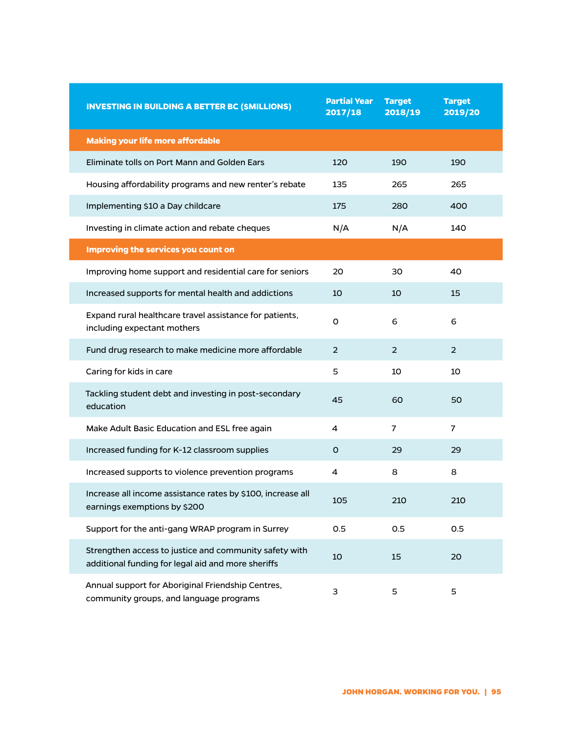| <b>INVESTING IN BUILDING A BETTER BC (SMILLIONS)</b>                                                         | <b>Partial Year</b><br>2017/18 | <b>Target</b><br>2018/19 | <b>Target</b><br>2019/20 |
|--------------------------------------------------------------------------------------------------------------|--------------------------------|--------------------------|--------------------------|
| <b>Making your life more affordable</b>                                                                      |                                |                          |                          |
| Eliminate tolls on Port Mann and Golden Ears                                                                 | 120                            | 190                      | 190                      |
| Housing affordability programs and new renter's rebate                                                       | 135                            | 265                      | 265                      |
| Implementing \$10 a Day childcare                                                                            | 175                            | 280                      | 400                      |
| Investing in climate action and rebate cheques                                                               | N/A                            | N/A                      | 140                      |
| <b>Improving the services you count on</b>                                                                   |                                |                          |                          |
| Improving home support and residential care for seniors                                                      | 20                             | 30                       | 40                       |
| Increased supports for mental health and addictions                                                          | 10                             | 10                       | 15                       |
| Expand rural healthcare travel assistance for patients,<br>including expectant mothers                       | O                              | 6                        | 6                        |
| Fund drug research to make medicine more affordable                                                          | 2                              | $\overline{2}$           | 2                        |
| Caring for kids in care                                                                                      | 5                              | 10                       | 10                       |
| Tackling student debt and investing in post-secondary<br>education                                           | 45                             | 60                       | 50                       |
| Make Adult Basic Education and ESL free again                                                                | 4                              | 7                        | $\overline{7}$           |
| Increased funding for K-12 classroom supplies                                                                | O                              | 29                       | 29                       |
| Increased supports to violence prevention programs                                                           | 4                              | 8                        | 8                        |
| Increase all income assistance rates by \$100, increase all<br>earnings exemptions by \$200                  | 105                            | 210                      | 210                      |
| Support for the anti-gang WRAP program in Surrey                                                             | 0.5                            | 0.5                      | 0.5                      |
| Strengthen access to justice and community safety with<br>additional funding for legal aid and more sheriffs | 10                             | 15                       | 20                       |
| Annual support for Aboriginal Friendship Centres,<br>community groups, and language programs                 | 3                              | 5                        | 5                        |